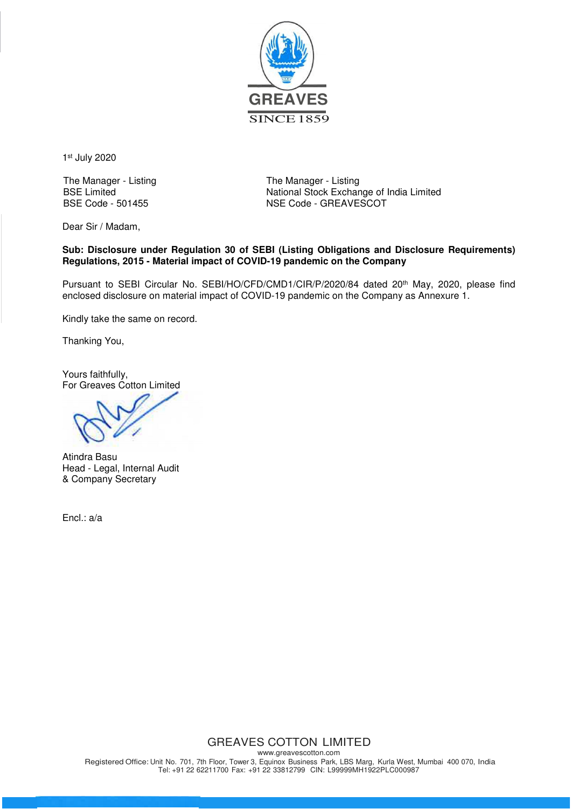

1 st July 2020

The Manager - Listing The Manager - Listing BSE Limited<br>BSE Code - 501455<br>BSE Code - 501455<br>
NSE Code - GREAVESCOT NSE Code - GREAVESCOT

Dear Sir / Madam,

## **Sub: Disclosure under Regulation 30 of SEBI (Listing Obligations and Disclosure Requirements) Regulations, 2015 - Material impact of COVID-19 pandemic on the Company**

Pursuant to SEBI Circular No. SEBI/HO/CFD/CMD1/CIR/P/2020/84 dated 20<sup>th</sup> May, 2020, please find enclosed disclosure on material impact of COVID-19 pandemic on the Company as Annexure 1.

Kindly take the same on record.

Thanking You,

Yours faithfully, For Greaves Cotton Limited

Atindra Basu Head - Legal, Internal Audit & Company Secretary

Encl.: a/a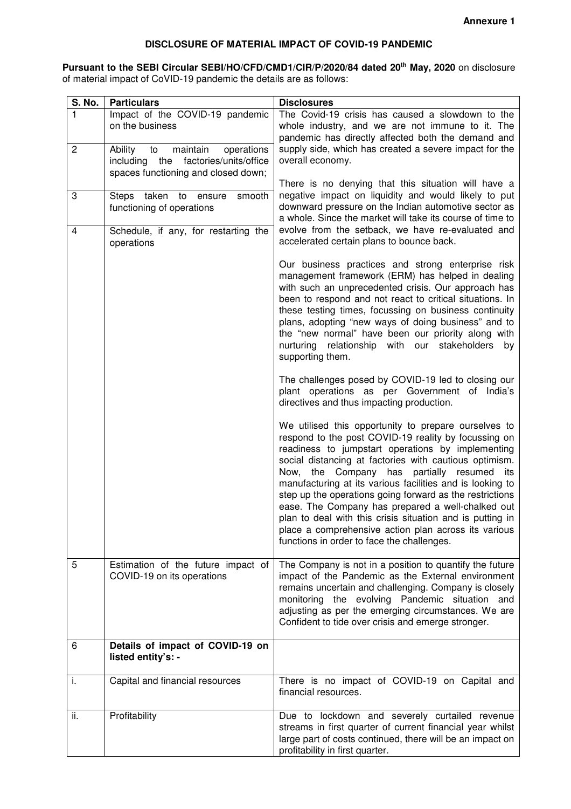## **DISCLOSURE OF MATERIAL IMPACT OF COVID-19 PANDEMIC**

**Pursuant to the SEBI Circular SEBI/HO/CFD/CMD1/CIR/P/2020/84 dated 20th May, 2020** on disclosure of material impact of CoVID-19 pandemic the details are as follows:

| S. No.         | <b>Particulars</b>                                                                                                           | <b>Disclosures</b>                                                                                                                                                                                                                                                                                                                                                                                                                                                                                                                                                                                                               |
|----------------|------------------------------------------------------------------------------------------------------------------------------|----------------------------------------------------------------------------------------------------------------------------------------------------------------------------------------------------------------------------------------------------------------------------------------------------------------------------------------------------------------------------------------------------------------------------------------------------------------------------------------------------------------------------------------------------------------------------------------------------------------------------------|
|                | Impact of the COVID-19 pandemic<br>on the business                                                                           | The Covid-19 crisis has caused a slowdown to the<br>whole industry, and we are not immune to it. The<br>pandemic has directly affected both the demand and                                                                                                                                                                                                                                                                                                                                                                                                                                                                       |
| $\overline{c}$ | operations<br>Ability<br>maintain<br>to<br>factories/units/office<br>including<br>the<br>spaces functioning and closed down; | supply side, which has created a severe impact for the<br>overall economy.                                                                                                                                                                                                                                                                                                                                                                                                                                                                                                                                                       |
| 3              | Steps taken to ensure<br>smooth<br>functioning of operations                                                                 | There is no denying that this situation will have a<br>negative impact on liquidity and would likely to put<br>downward pressure on the Indian automotive sector as<br>a whole. Since the market will take its course of time to                                                                                                                                                                                                                                                                                                                                                                                                 |
| 4              | Schedule, if any, for restarting the<br>operations                                                                           | evolve from the setback, we have re-evaluated and<br>accelerated certain plans to bounce back.                                                                                                                                                                                                                                                                                                                                                                                                                                                                                                                                   |
|                |                                                                                                                              | Our business practices and strong enterprise risk<br>management framework (ERM) has helped in dealing<br>with such an unprecedented crisis. Our approach has<br>been to respond and not react to critical situations. In<br>these testing times, focussing on business continuity<br>plans, adopting "new ways of doing business" and to<br>the "new normal" have been our priority along with<br>nurturing relationship with our stakeholders<br>by<br>supporting them.                                                                                                                                                         |
|                |                                                                                                                              | The challenges posed by COVID-19 led to closing our<br>plant operations as per Government of India's<br>directives and thus impacting production.                                                                                                                                                                                                                                                                                                                                                                                                                                                                                |
|                |                                                                                                                              | We utilised this opportunity to prepare ourselves to<br>respond to the post COVID-19 reality by focussing on<br>readiness to jumpstart operations by implementing<br>social distancing at factories with cautious optimism.<br>Now, the Company has<br>partially resumed<br>its<br>manufacturing at its various facilities and is looking to<br>step up the operations going forward as the restrictions<br>ease. The Company has prepared a well-chalked out<br>plan to deal with this crisis situation and is putting in<br>place a comprehensive action plan across its various<br>functions in order to face the challenges. |
| 5              | Estimation of the future impact of<br>COVID-19 on its operations                                                             | The Company is not in a position to quantify the future<br>impact of the Pandemic as the External environment<br>remains uncertain and challenging. Company is closely<br>monitoring the evolving Pandemic situation and<br>adjusting as per the emerging circumstances. We are<br>Confident to tide over crisis and emerge stronger.                                                                                                                                                                                                                                                                                            |
| 6              | Details of impact of COVID-19 on<br>listed entity's: -                                                                       |                                                                                                                                                                                                                                                                                                                                                                                                                                                                                                                                                                                                                                  |
| i.             | Capital and financial resources                                                                                              | There is no impact of COVID-19 on Capital and<br>financial resources.                                                                                                                                                                                                                                                                                                                                                                                                                                                                                                                                                            |
| ii.            | Profitability                                                                                                                | Due to lockdown and severely curtailed revenue<br>streams in first quarter of current financial year whilst<br>large part of costs continued, there will be an impact on<br>profitability in first quarter.                                                                                                                                                                                                                                                                                                                                                                                                                      |